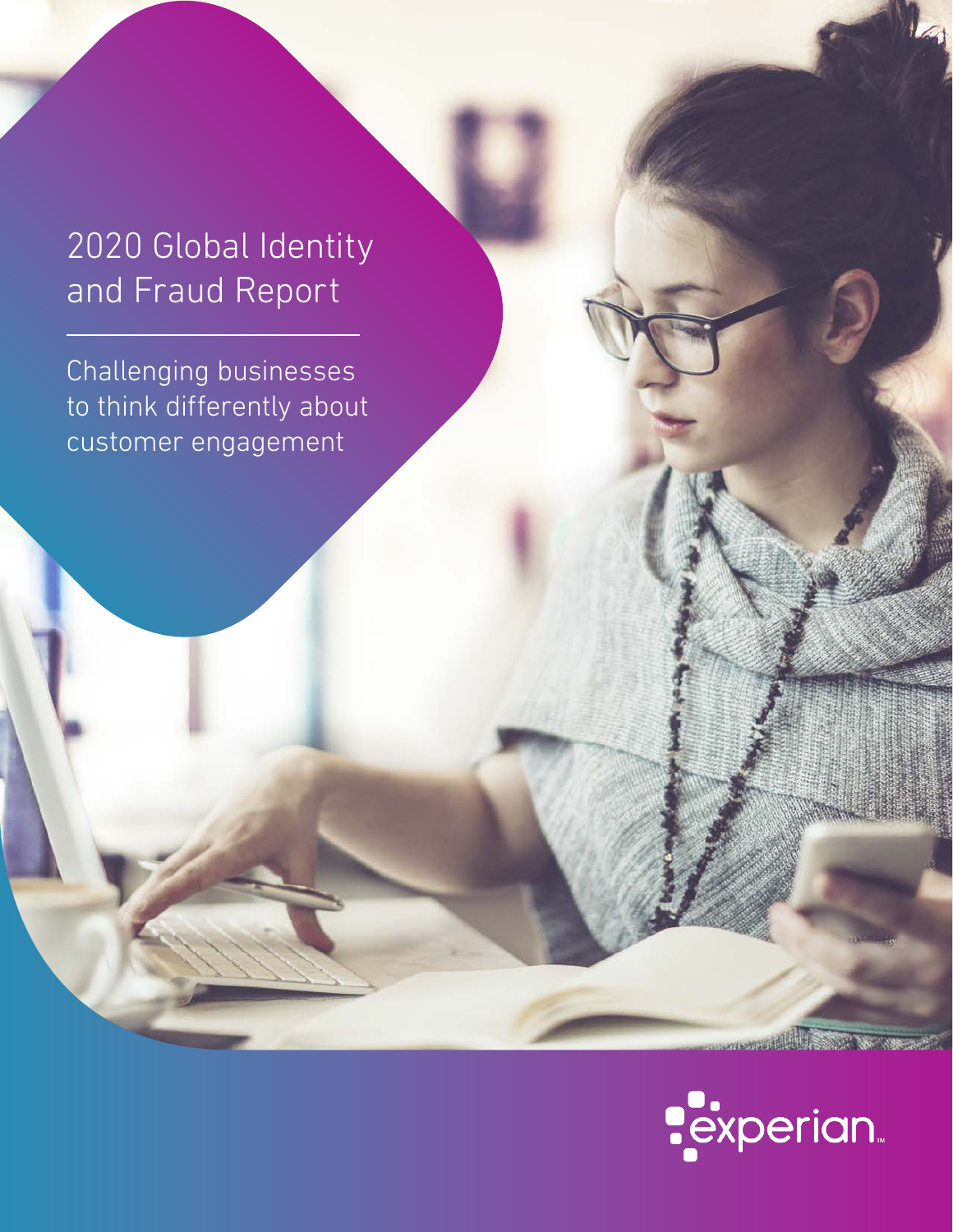# 2020 Global Identity and Fraud Report

Challenging businesses to think differently about customer engagement



HELL STORY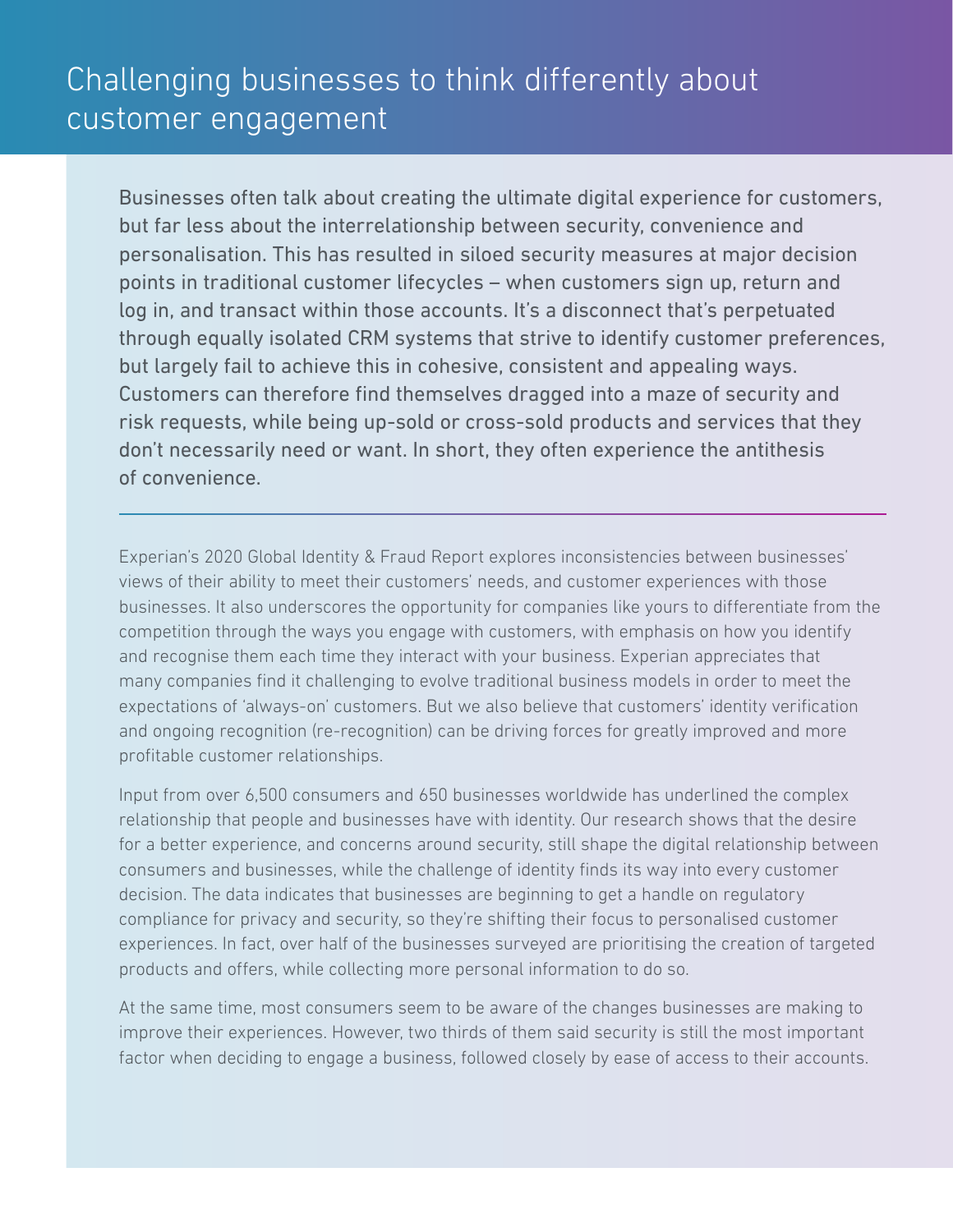Businesses often talk about creating the ultimate digital experience for customers, but far less about the interrelationship between security, convenience and personalisation. This has resulted in siloed security measures at major decision points in traditional customer lifecycles – when customers sign up, return and log in, and transact within those accounts. It's a disconnect that's perpetuated through equally isolated CRM systems that strive to identify customer preferences, but largely fail to achieve this in cohesive, consistent and appealing ways. Customers can therefore find themselves dragged into a maze of security and risk requests, while being up-sold or cross-sold products and services that they don't necessarily need or want. In short, they often experience the antithesis of convenience.

Experian's 2020 Global Identity & Fraud Report explores inconsistencies between businesses' views of their ability to meet their customers' needs, and customer experiences with those businesses. It also underscores the opportunity for companies like yours to differentiate from the competition through the ways you engage with customers, with emphasis on how you identify and recognise them each time they interact with your business. Experian appreciates that many companies find it challenging to evolve traditional business models in order to meet the expectations of 'always-on' customers. But we also believe that customers' identity verification and ongoing recognition (re-recognition) can be driving forces for greatly improved and more profitable customer relationships.

Input from over 6,500 consumers and 650 businesses worldwide has underlined the complex relationship that people and businesses have with identity. Our research shows that the desire for a better experience, and concerns around security, still shape the digital relationship between consumers and businesses, while the challenge of identity finds its way into every customer decision. The data indicates that businesses are beginning to get a handle on regulatory compliance for privacy and security, so they're shifting their focus to personalised customer experiences. In fact, over half of the businesses surveyed are prioritising the creation of targeted products and offers, while collecting more personal information to do so.

At the same time, most consumers seem to be aware of the changes businesses are making to improve their experiences. However, two thirds of them said security is still the most important factor when deciding to engage a business, followed closely by ease of access to their accounts.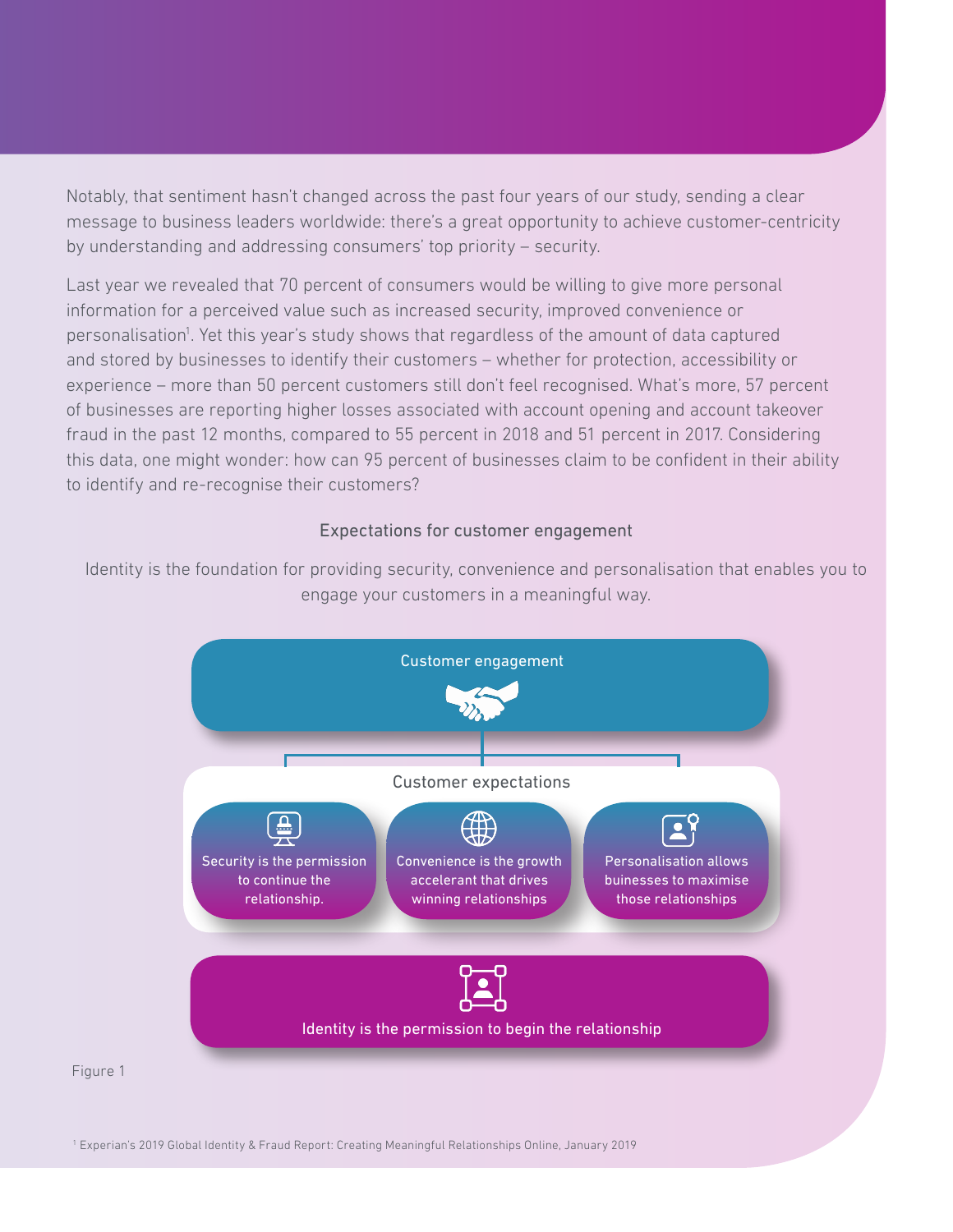Notably, that sentiment hasn't changed across the past four years of our study, sending a clear message to business leaders worldwide: there's a great opportunity to achieve customer-centricity by understanding and addressing consumers' top priority – security.

Last year we revealed that 70 percent of consumers would be willing to give more personal information for a perceived value such as increased security, improved convenience or personalisation<sup>1</sup>. Yet this year's study shows that regardless of the amount of data captured and stored by businesses to identify their customers – whether for protection, accessibility or experience – more than 50 percent customers still don't feel recognised. What's more, 57 percent of businesses are reporting higher losses associated with account opening and account takeover fraud in the past 12 months, compared to 55 percent in 2018 and 51 percent in 2017. Considering this data, one might wonder: how can 95 percent of businesses claim to be confident in their ability to identify and re-recognise their customers?

### Expectations for customer engagement

Identity is the foundation for providing security, convenience and personalisation that enables you to engage your customers in a meaningful way.





1  [Experian's 2019 Global Identity & Fraud Report: Creating Meaningful Relationships Online, January 2019](http://images.go.experian.com/Web/ExperianInformationSolutionsInc/%7B72a3dff6-a87d-4d1a-b34e-ff7546bc9237%7D_2019-global-identity-fraud-report.pdf)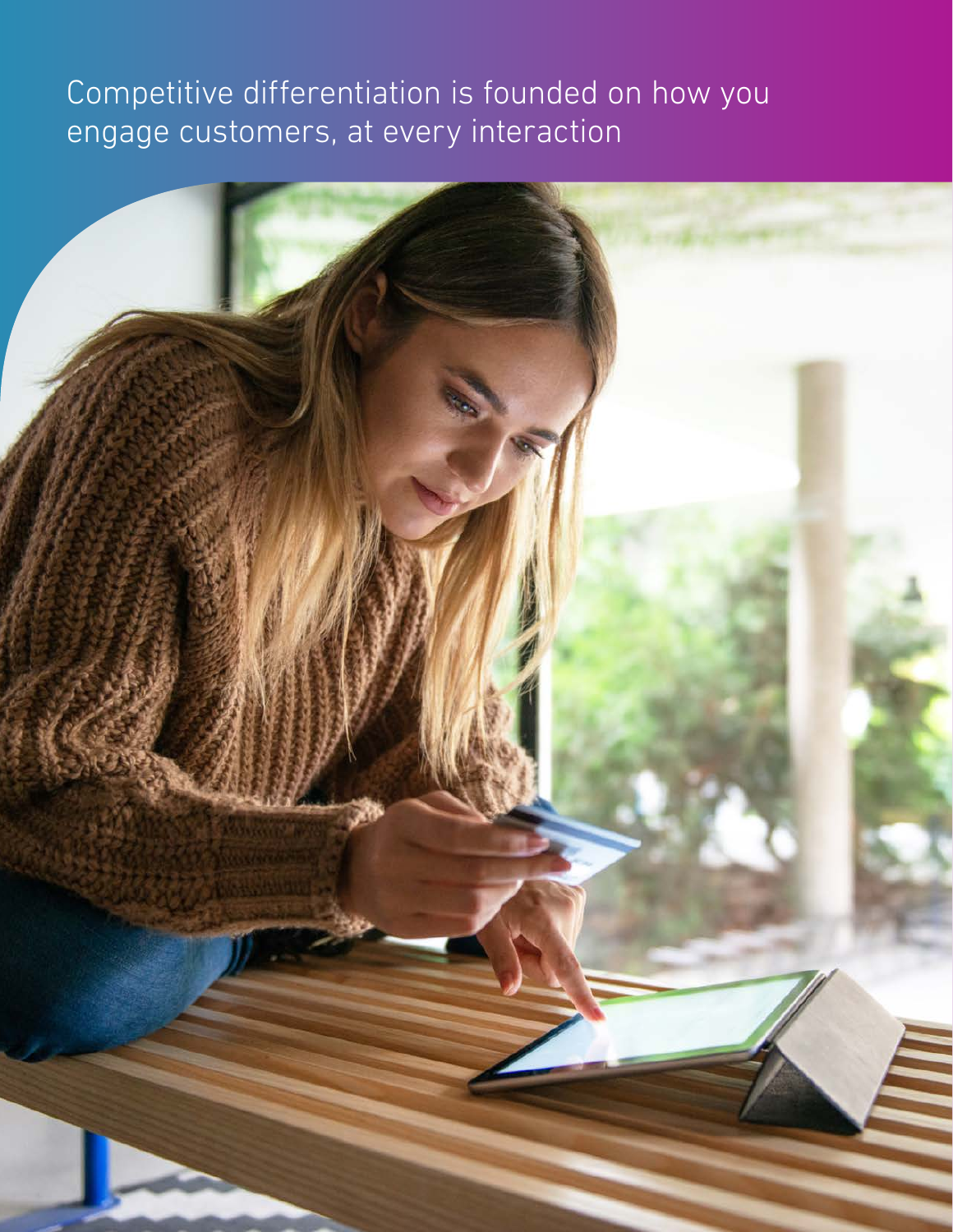## Competitive differentiation is founded on how you engage customers, at every interaction

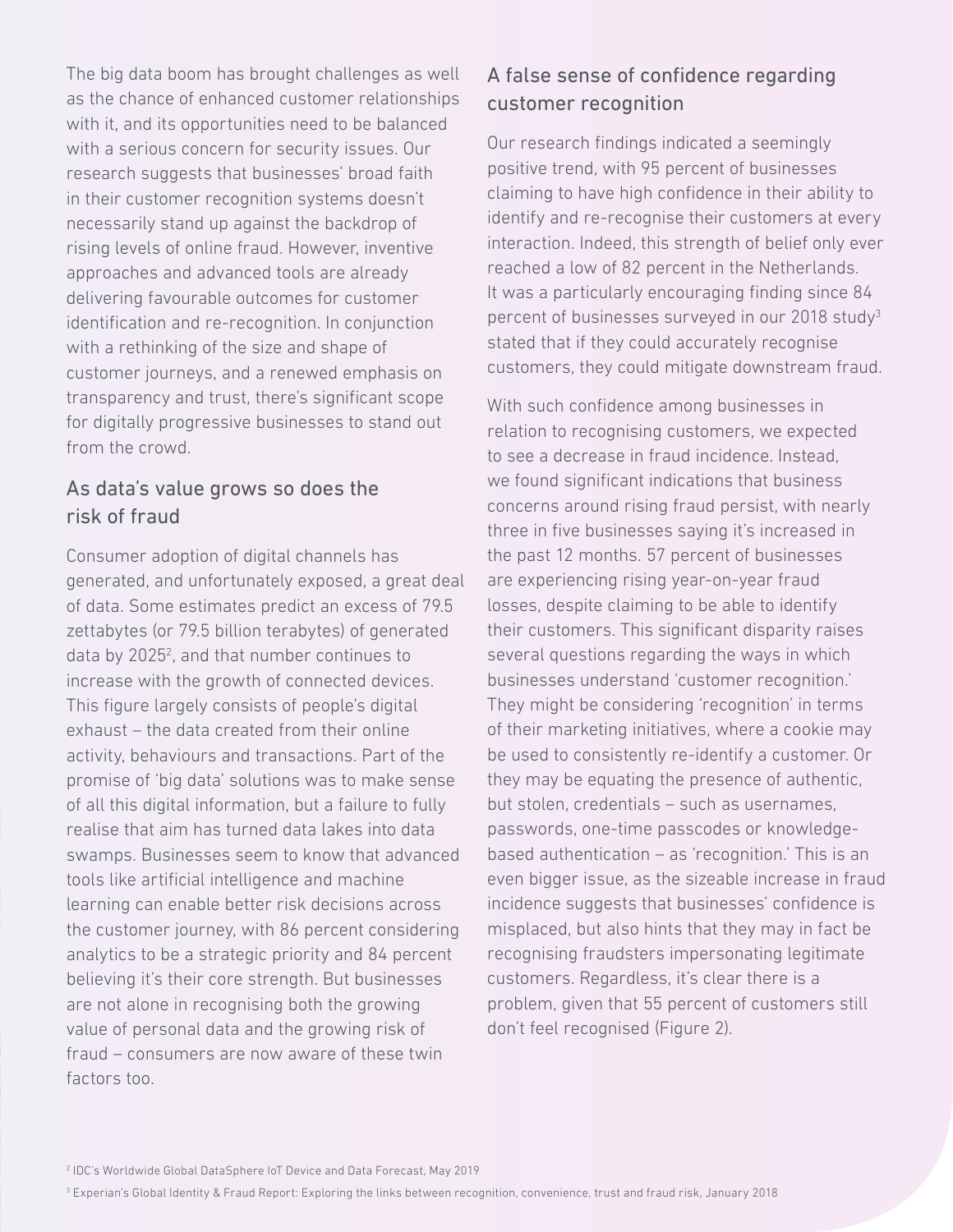The big data boom has brought challenges as well as the chance of enhanced customer relationships with it, and its opportunities need to be balanced with a serious concern for security issues. Our research suggests that businesses' broad faith in their customer recognition systems doesn't necessarily stand up against the backdrop of rising levels of online fraud. However, inventive approaches and advanced tools are already delivering favourable outcomes for customer identification and re-recognition. In conjunction with a rethinking of the size and shape of customer journeys, and a renewed emphasis on transparency and trust, there's significant scope for digitally progressive businesses to stand out from the crowd.

### As data's value grows so does the risk of fraud

Consumer adoption of digital channels has generated, and unfortunately exposed, a great deal of data. Some estimates predict an excess of 79.5 zettabytes (or 79.5 billion terabytes) of generated data by 2025<sup>2</sup>, and that number continues to increase with the growth of connected devices. This figure largely consists of people's digital exhaust – the data created from their online activity, behaviours and transactions. Part of the promise of 'big data' solutions was to make sense of all this digital information, but a failure to fully realise that aim has turned data lakes into data swamps. Businesses seem to know that advanced tools like artificial intelligence and machine learning can enable better risk decisions across the customer journey, with 86 percent considering analytics to be a strategic priority and 84 percent believing it's their core strength. But businesses are not alone in recognising both the growing value of personal data and the growing risk of fraud – consumers are now aware of these twin factors too.

## A false sense of confidence regarding customer recognition

Our research findings indicated a seemingly positive trend, with 95 percent of businesses claiming to have high confidence in their ability to identify and re-recognise their customers at every interaction. Indeed, this strength of belief only ever reached a low of 82 percent in the Netherlands. It was a particularly encouraging finding since 84 percent of businesses surveyed in our 2018 study3 stated that if they could accurately recognise customers, they could mitigate downstream fraud.

With such confidence among businesses in relation to recognising customers, we expected to see a decrease in fraud incidence. Instead, we found significant indications that business concerns around rising fraud persist, with nearly three in five businesses saying it's increased in the past 12 months. 57 percent of businesses are experiencing rising year-on-year fraud losses, despite claiming to be able to identify their customers. This significant disparity raises several questions regarding the ways in which businesses understand 'customer recognition.' They might be considering 'recognition' in terms of their marketing initiatives, where a cookie may be used to consistently re-identify a customer. Or they may be equating the presence of authentic, but stolen, credentials – such as usernames, passwords, one-time passcodes or knowledgebased authentication – as 'recognition.' This is an even bigger issue, as the sizeable increase in fraud incidence suggests that businesses' confidence is misplaced, but also hints that they may in fact be recognising fraudsters impersonating legitimate customers. Regardless, it's clear there is a problem, given that 55 percent of customers still don't feel recognised (Figure 2).

<sup>3</sup> [Experian's Global Identity & Fraud Report: Exploring the links between recognition, convenience, trust and fraud risk, January 2018](https://www.experian.com/assets/decision-analytics/reports/global-fraud-report-2018.pdf)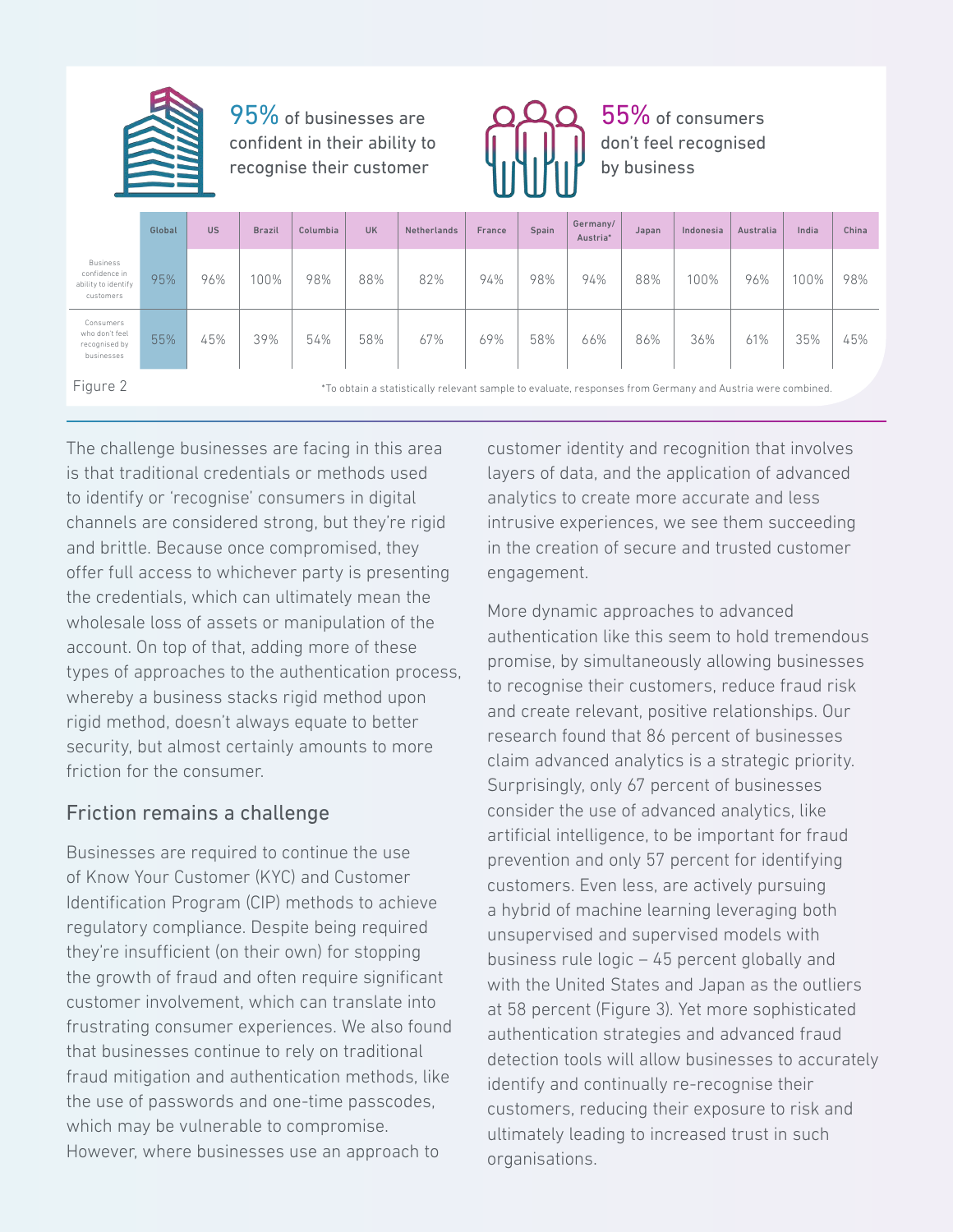

95% of businesses are confident in their ability to recognise their customer



55% of consumers don't feel recognised by business

|                                                                      | Global                                                                                                    | <b>US</b> | <b>Brazil</b> | Columbia | <b>UK</b> | <b>Netherlands</b> | France | Spain | Germany/<br>Austria* | Japan | Indonesia | Australia | India | China |
|----------------------------------------------------------------------|-----------------------------------------------------------------------------------------------------------|-----------|---------------|----------|-----------|--------------------|--------|-------|----------------------|-------|-----------|-----------|-------|-------|
| <b>Business</b><br>confidence in<br>ability to identify<br>customers | 95%                                                                                                       | 96%       | 100%          | 98%      | 88%       | 82%                | 94%    | 98%   | 94%                  | 88%   | 100%      | 96%       | 100%  | 98%   |
| Consumers<br>who don't feel<br>recognised by<br>businesses           | 55%                                                                                                       | 45%       | 39%           | 54%      | 58%       | 67%                | 69%    | 58%   | 66%                  | 86%   | 36%       | 61%       | 35%   | 45%   |
| Figure 2                                                             | *To obtain a statistically relevant sample to evaluate, responses from Germany and Austria were combined. |           |               |          |           |                    |        |       |                      |       |           |           |       |       |

The challenge businesses are facing in this area is that traditional credentials or methods used to identify or 'recognise' consumers in digital channels are considered strong, but they're rigid and brittle. Because once compromised, they offer full access to whichever party is presenting the credentials, which can ultimately mean the wholesale loss of assets or manipulation of the account. On top of that, adding more of these types of approaches to the authentication process, whereby a business stacks rigid method upon rigid method, doesn't always equate to better security, but almost certainly amounts to more friction for the consumer.

## Friction remains a challenge

Businesses are required to continue the use of Know Your Customer (KYC) and Customer Identification Program (CIP) methods to achieve regulatory compliance. Despite being required they're insufficient (on their own) for stopping the growth of fraud and often require significant customer involvement, which can translate into frustrating consumer experiences. We also found that businesses continue to rely on traditional fraud mitigation and authentication methods, like the use of passwords and one-time passcodes, which may be vulnerable to compromise. However, where businesses use an approach to

customer identity and recognition that involves layers of data, and the application of advanced analytics to create more accurate and less intrusive experiences, we see them succeeding in the creation of secure and trusted customer engagement.

More dynamic approaches to advanced authentication like this seem to hold tremendous promise, by simultaneously allowing businesses to recognise their customers, reduce fraud risk and create relevant, positive relationships. Our research found that 86 percent of businesses claim advanced analytics is a strategic priority. Surprisingly, only 67 percent of businesses consider the use of advanced analytics, like artificial intelligence, to be important for fraud prevention and only 57 percent for identifying customers. Even less, are actively pursuing a hybrid of machine learning leveraging both unsupervised and supervised models with business rule logic – 45 percent globally and with the United States and Japan as the outliers at 58 percent (Figure 3). Yet more sophisticated authentication strategies and advanced fraud detection tools will allow businesses to accurately identify and continually re-recognise their customers, reducing their exposure to risk and ultimately leading to increased trust in such organisations.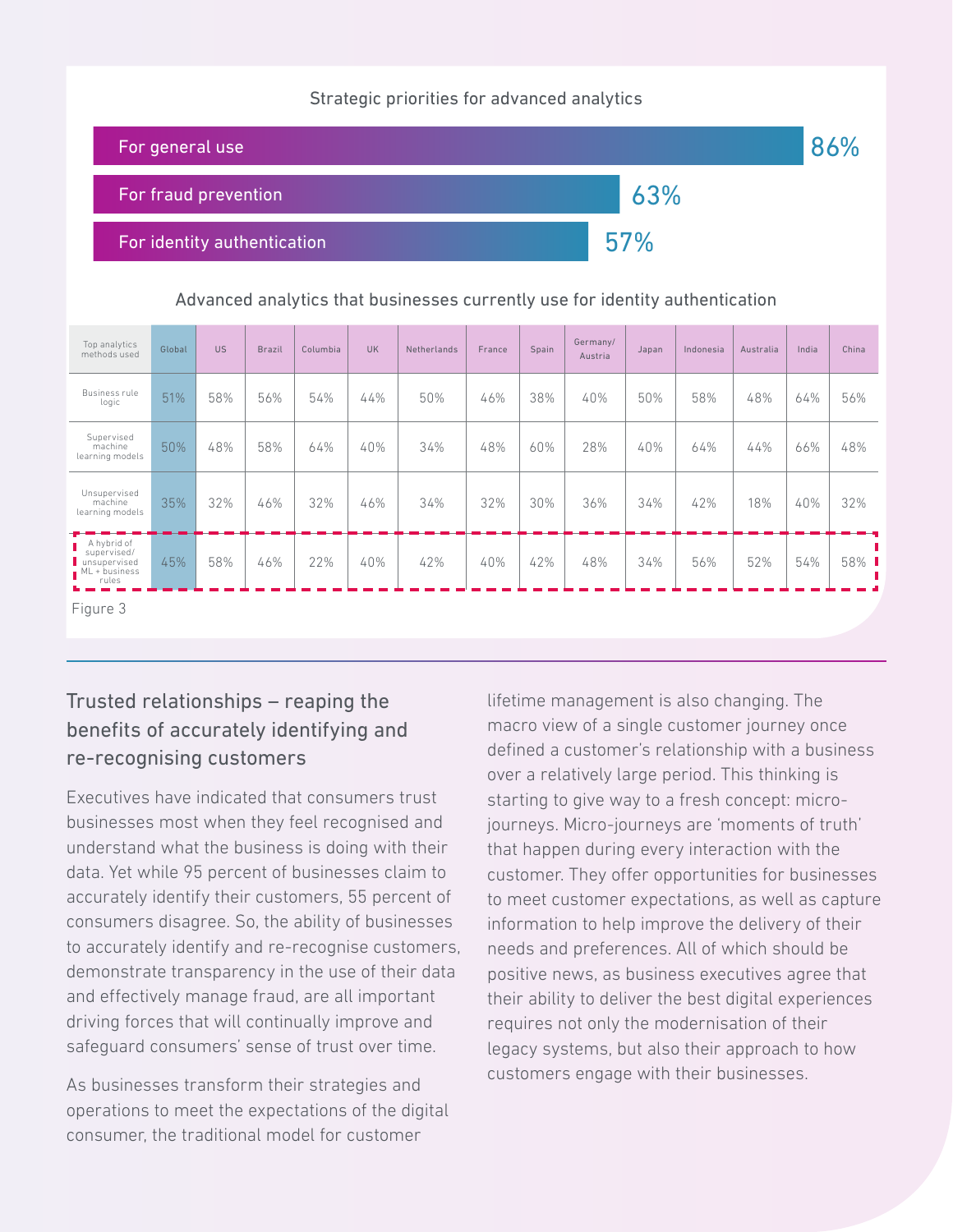### Strategic priorities for advanced analytics



### Advanced analytics that businesses currently use for identity authentication

| Top analytics<br>methods used                                          | Global | <b>US</b> | <b>Brazil</b> | Columbia | <b>UK</b> | Netherlands | France | Spain | Germany/<br>Austria | Japan | Indonesia | Australia | India | China |
|------------------------------------------------------------------------|--------|-----------|---------------|----------|-----------|-------------|--------|-------|---------------------|-------|-----------|-----------|-------|-------|
| <b>Business rule</b><br>logic                                          | 51%    | 58%       | 56%           | 54%      | 44%       | 50%         | 46%    | 38%   | 40%                 | 50%   | 58%       | 48%       | 64%   | 56%   |
| Supervised<br>machine<br>learning models                               | 50%    | 48%       | 58%           | 64%      | 40%       | 34%         | 48%    | 60%   | 28%                 | 40%   | 64%       | 44%       | 66%   | 48%   |
| Unsupervised<br>machine<br>learning models                             | 35%    | 32%       | 46%           | 32%      | 46%       | 34%         | 32%    | 30%   | 36%                 | 34%   | 42%       | 18%       | 40%   | 32%   |
| A hybrid of<br>supervised/<br>unsupervised<br>$ML + business$<br>rules | 45%    | 58%       | 46%           | 22%      | 40%       | 42%         | 40%    | 42%   | 48%                 | 34%   | 56%       | 52%       | 54%   | 58%   |
| Figure 3                                                               |        |           |               |          |           |             |        |       |                     |       |           |           |       |       |

## Trusted relationships – reaping the benefits of accurately identifying and re-recognising customers

Executives have indicated that consumers trust businesses most when they feel recognised and understand what the business is doing with their data. Yet while 95 percent of businesses claim to accurately identify their customers, 55 percent of consumers disagree. So, the ability of businesses to accurately identify and re-recognise customers, demonstrate transparency in the use of their data and effectively manage fraud, are all important driving forces that will continually improve and safeguard consumers' sense of trust over time.

As businesses transform their strategies and operations to meet the expectations of the digital consumer, the traditional model for customer

lifetime management is also changing. The macro view of a single customer journey once defined a customer's relationship with a business over a relatively large period. This thinking is starting to give way to a fresh concept: microjourneys. Micro-journeys are 'moments of truth' that happen during every interaction with the customer. They offer opportunities for businesses to meet customer expectations, as well as capture information to help improve the delivery of their needs and preferences. All of which should be positive news, as business executives agree that their ability to deliver the best digital experiences requires not only the modernisation of their legacy systems, but also their approach to how customers engage with their businesses.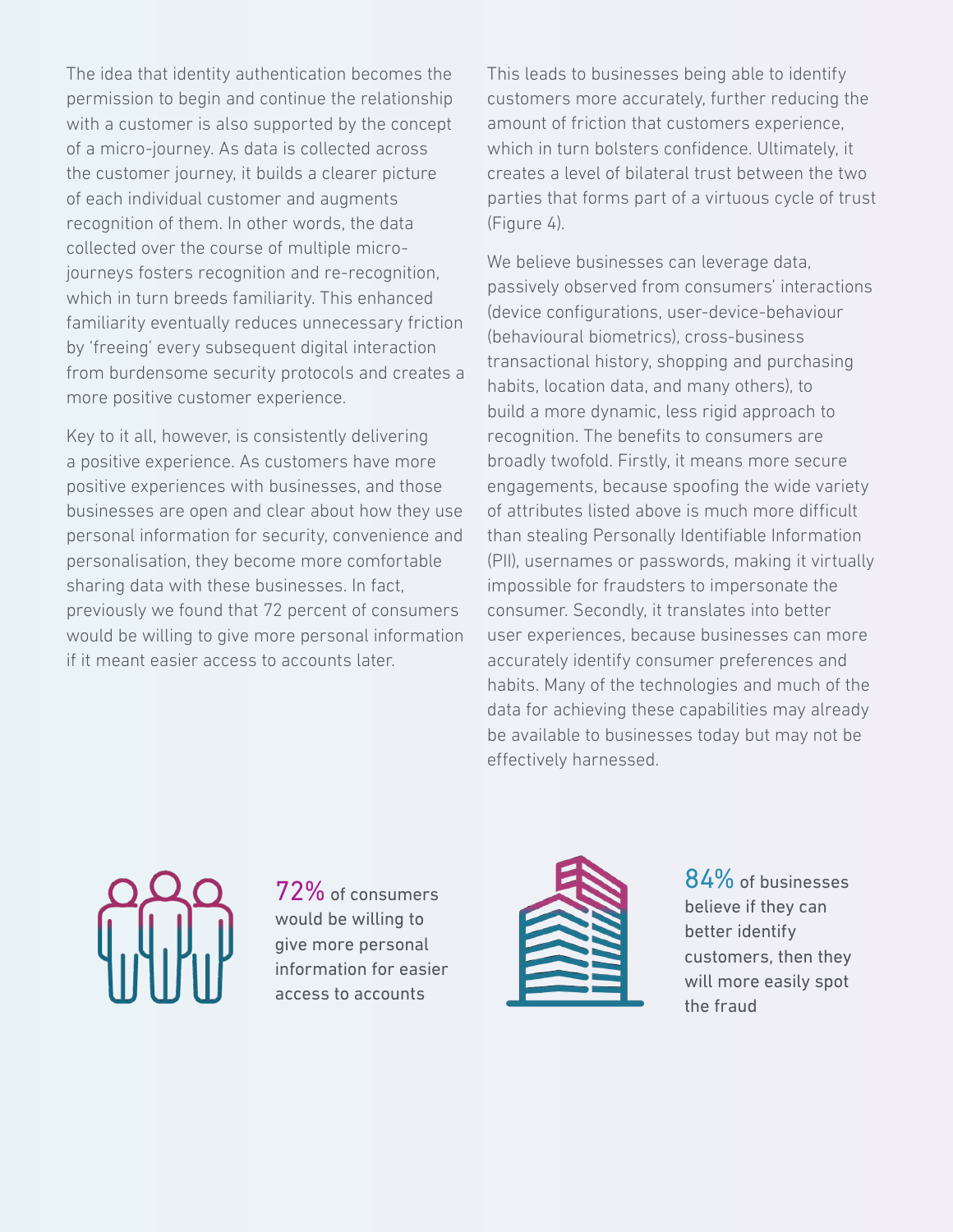The idea that identity authentication becomes the permission to begin and continue the relationship with a customer is also supported by the concept of a micro-journey. As data is collected across the customer journey, it builds a clearer picture of each individual customer and augments recognition of them. In other words, the data collected over the course of multiple microjourneys fosters recognition and re-recognition, which in turn breeds familiarity. This enhanced familiarity eventually reduces unnecessary friction by 'freeing' every subsequent digital interaction from burdensome security protocols and creates a more positive customer experience.

Key to it all, however, is consistently delivering a positive experience. As customers have more positive experiences with businesses, and those businesses are open and clear about how they use personal information for security, convenience and personalisation, they become more comfortable sharing data with these businesses. In fact, previously we found that 72 percent of consumers would be willing to give more personal information if it meant easier access to accounts later.

This leads to businesses being able to identify customers more accurately, further reducing the amount of friction that customers experience, which in turn bolsters confidence. Ultimately, it creates a level of bilateral trust between the two parties that forms part of a virtuous cycle of trust (Figure 4).

We believe businesses can leverage data, passively observed from consumers' interactions (device configurations, user-device-behaviour (behavioural biometrics), cross-business transactional history, shopping and purchasing habits, location data, and many others), to build a more dynamic, less rigid approach to recognition. The benefits to consumers are broadly twofold. Firstly, it means more secure engagements, because spoofing the wide variety of attributes listed above is much more difficult than stealing Personally Identifiable Information (PII), usernames or passwords, making it virtually impossible for fraudsters to impersonate the consumer. Secondly, it translates into better user experiences, because businesses can more accurately identify consumer preferences and habits. Many of the technologies and much of the data for achieving these capabilities may already be available to businesses today but may not be effectively harnessed.



72% of consumers would be willing to give more personal information for easier access to accounts



84% of businesses believe if they can better identify customers, then they will more easily spot the fraud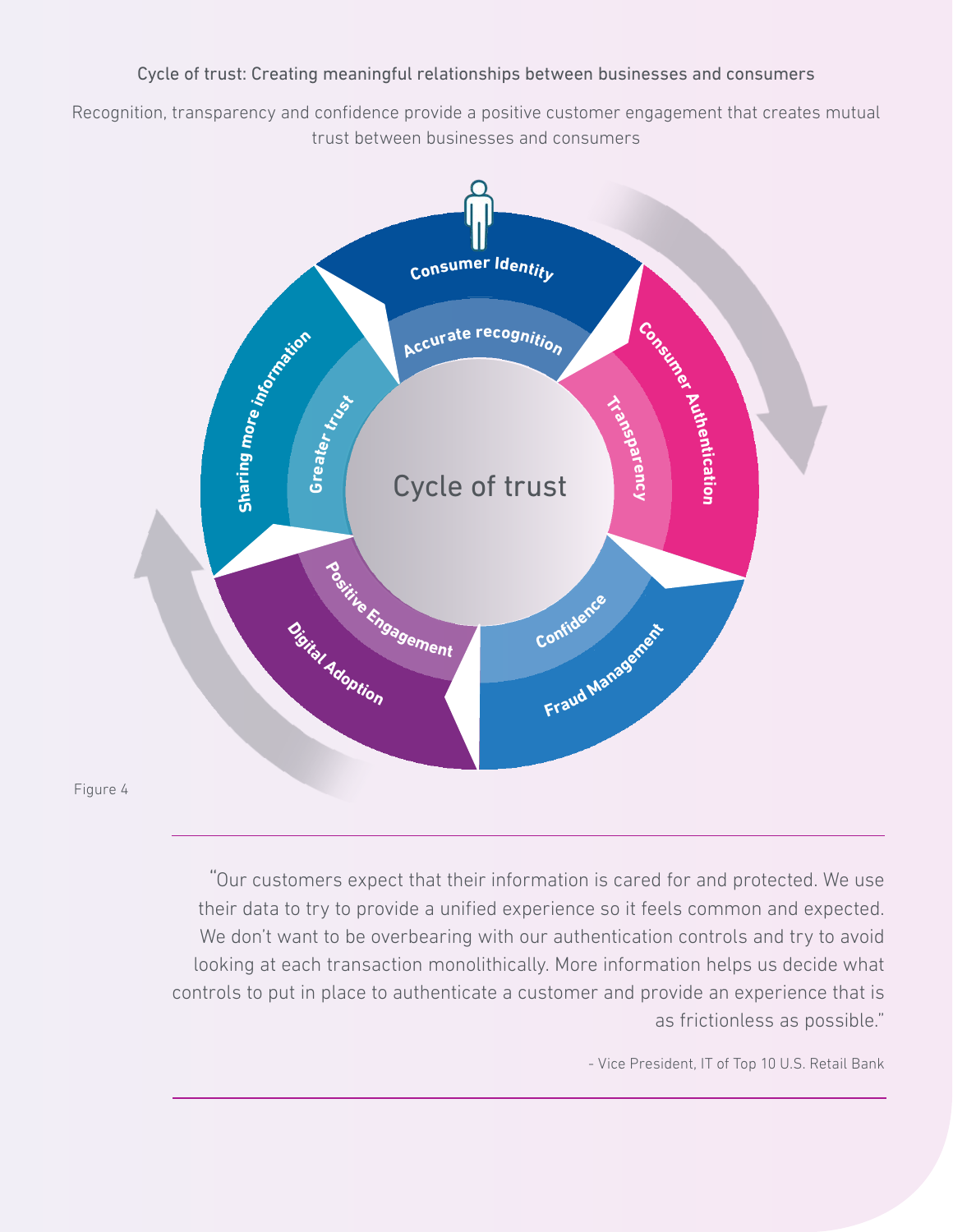### Cycle of trust: Creating meaningful relationships between businesses and consumers

Recognition, transparency and confidence provide a positive customer engagement that creates mutual trust between businesses and consumers



"Our customers expect that their information is cared for and protected. We use their data to try to provide a unified experience so it feels common and expected. We don't want to be overbearing with our authentication controls and try to avoid looking at each transaction monolithically. More information helps us decide what controls to put in place to authenticate a customer and provide an experience that is as frictionless as possible."

- Vice President, IT of Top 10 U.S. Retail Bank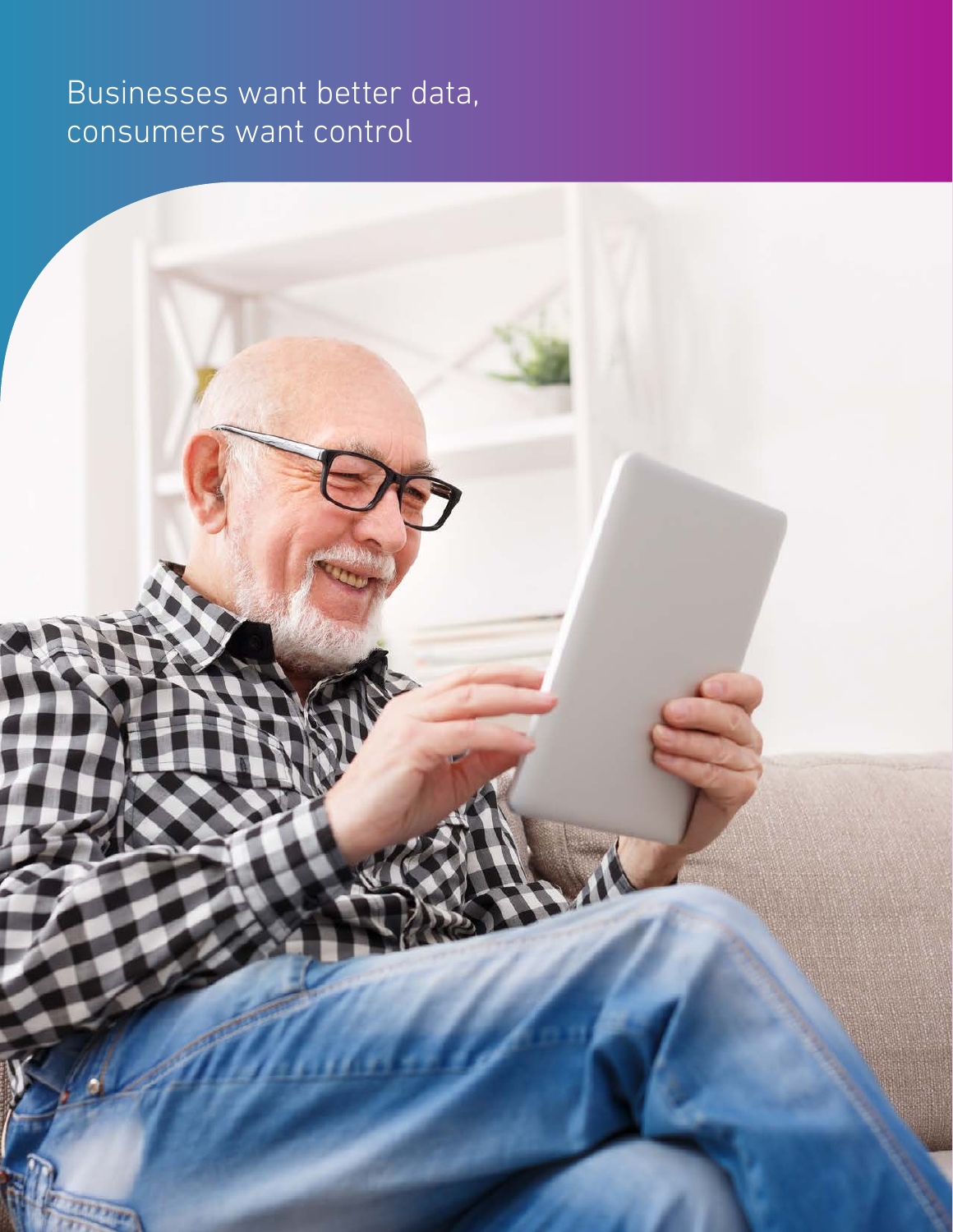## Businesses want better data, consumers want control

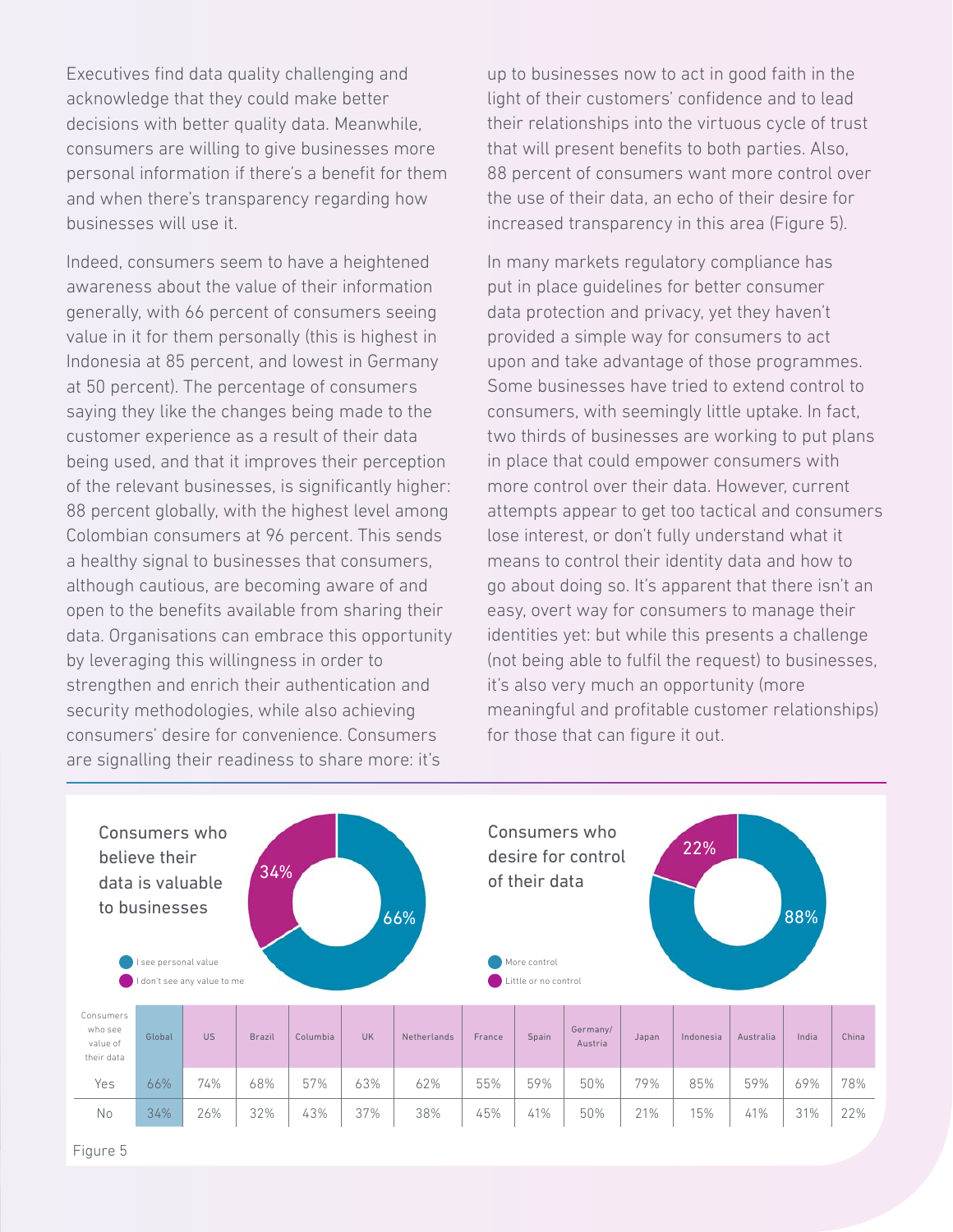Executives find data quality challenging and acknowledge that they could make better decisions with better quality data. Meanwhile, consumers are willing to give businesses more personal information if there's a benefit for them and when there's transparency regarding how businesses will use it.

Indeed, consumers seem to have a heightened awareness about the value of their information generally, with 66 percent of consumers seeing value in it for them personally (this is highest in Indonesia at 85 percent, and lowest in Germany at 50 percent). The percentage of consumers saying they like the changes being made to the customer experience as a result of their data being used, and that it improves their perception of the relevant businesses, is significantly higher: 88 percent globally, with the highest level among Colombian consumers at 96 percent. This sends a healthy signal to businesses that consumers, although cautious, are becoming aware of and open to the benefits available from sharing their data. Organisations can embrace this opportunity by leveraging this willingness in order to strengthen and enrich their authentication and security methodologies, while also achieving consumers' desire for convenience. Consumers are signalling their readiness to share more: it's

up to businesses now to act in good faith in the light of their customers' confidence and to lead their relationships into the virtuous cycle of trust that will present benefits to both parties. Also, 88 percent of consumers want more control over the use of their data, an echo of their desire for increased transparency in this area (Figure 5).

In many markets regulatory compliance has put in place guidelines for better consumer data protection and privacy, yet they haven't provided a simple way for consumers to act upon and take advantage of those programmes. Some businesses have tried to extend control to consumers, with seemingly little uptake. In fact, two thirds of businesses are working to put plans in place that could empower consumers with more control over their data. However, current attempts appear to get too tactical and consumers lose interest, or don't fully understand what it means to control their identity data and how to go about doing so. It's apparent that there isn't an easy, overt way for consumers to manage their identities yet: but while this presents a challenge (not being able to fulfil the request) to businesses, it's also very much an opportunity (more meaningful and profitable customer relationships) for those that can figure it out.

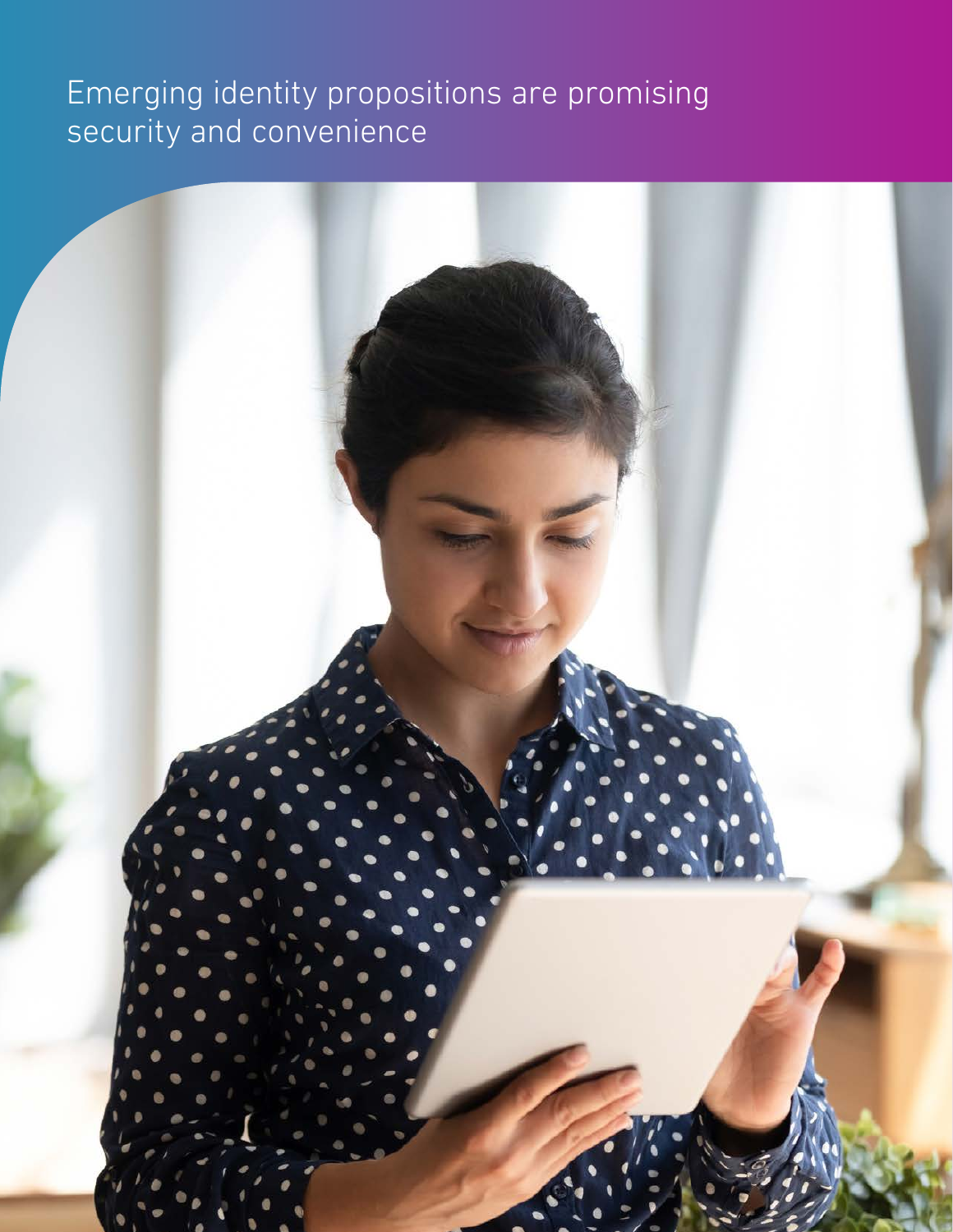## Emerging identity propositions are promising security and convenience

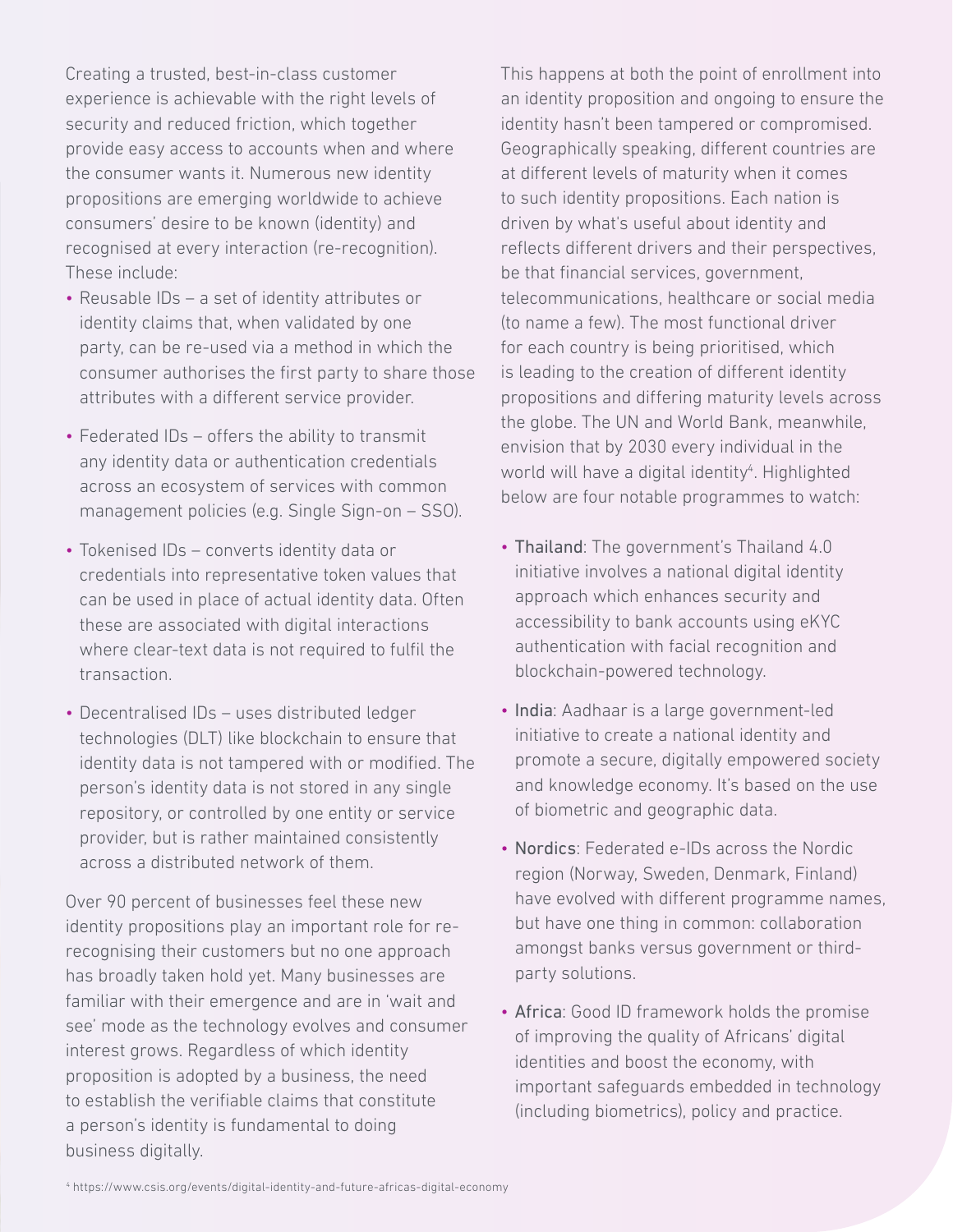Creating a trusted, best-in-class customer experience is achievable with the right levels of security and reduced friction, which together provide easy access to accounts when and where the consumer wants it. Numerous new identity propositions are emerging worldwide to achieve consumers' desire to be known (identity) and recognised at every interaction (re-recognition). These include:

- Reusable IDs a set of identity attributes or identity claims that, when validated by one party, can be re-used via a method in which the consumer authorises the first party to share those attributes with a different service provider.
- Federated IDs offers the ability to transmit any identity data or authentication credentials across an ecosystem of services with common management policies (e.g. Single Sign-on – SSO).
- Tokenised IDs converts identity data or credentials into representative token values that can be used in place of actual identity data. Often these are associated with digital interactions where clear-text data is not required to fulfil the transaction.
- Decentralised IDs uses distributed ledger technologies (DLT) like blockchain to ensure that identity data is not tampered with or modified. The person's identity data is not stored in any single repository, or controlled by one entity or service provider, but is rather maintained consistently across a distributed network of them.

Over 90 percent of businesses feel these new identity propositions play an important role for rerecognising their customers but no one approach has broadly taken hold yet. Many businesses are familiar with their emergence and are in 'wait and see' mode as the technology evolves and consumer interest grows. Regardless of which identity proposition is adopted by a business, the need to establish the verifiable claims that constitute a person's identity is fundamental to doing business digitally.

This happens at both the point of enrollment into an identity proposition and ongoing to ensure the identity hasn't been tampered or compromised. Geographically speaking, different countries are at different levels of maturity when it comes to such identity propositions. Each nation is driven by what's useful about identity and reflects different drivers and their perspectives, be that financial services, government, telecommunications, healthcare or social media (to name a few). The most functional driver for each country is being prioritised, which is leading to the creation of different identity propositions and differing maturity levels across the globe. The UN and World Bank, meanwhile, envision that by 2030 every individual in the world will have a digital identity<sup>4</sup>. Highlighted below are four notable programmes to watch:

- Thailand: The government's Thailand 4.0 initiative involves a national digital identity approach which enhances security and accessibility to bank accounts using eKYC authentication with facial recognition and blockchain-powered technology.
- India: Aadhaar is a large government-led initiative to create a national identity and promote a secure, digitally empowered society and knowledge economy. It's based on the use of biometric and geographic data.
- Nordics: Federated e-IDs across the Nordic region (Norway, Sweden, Denmark, Finland) have evolved with different programme names, but have one thing in common: collaboration amongst banks versus government or thirdparty solutions.
- Africa: Good ID framework holds the promise of improving the quality of Africans' digital identities and boost the economy, with important safeguards embedded in technology (including biometrics), policy and practice.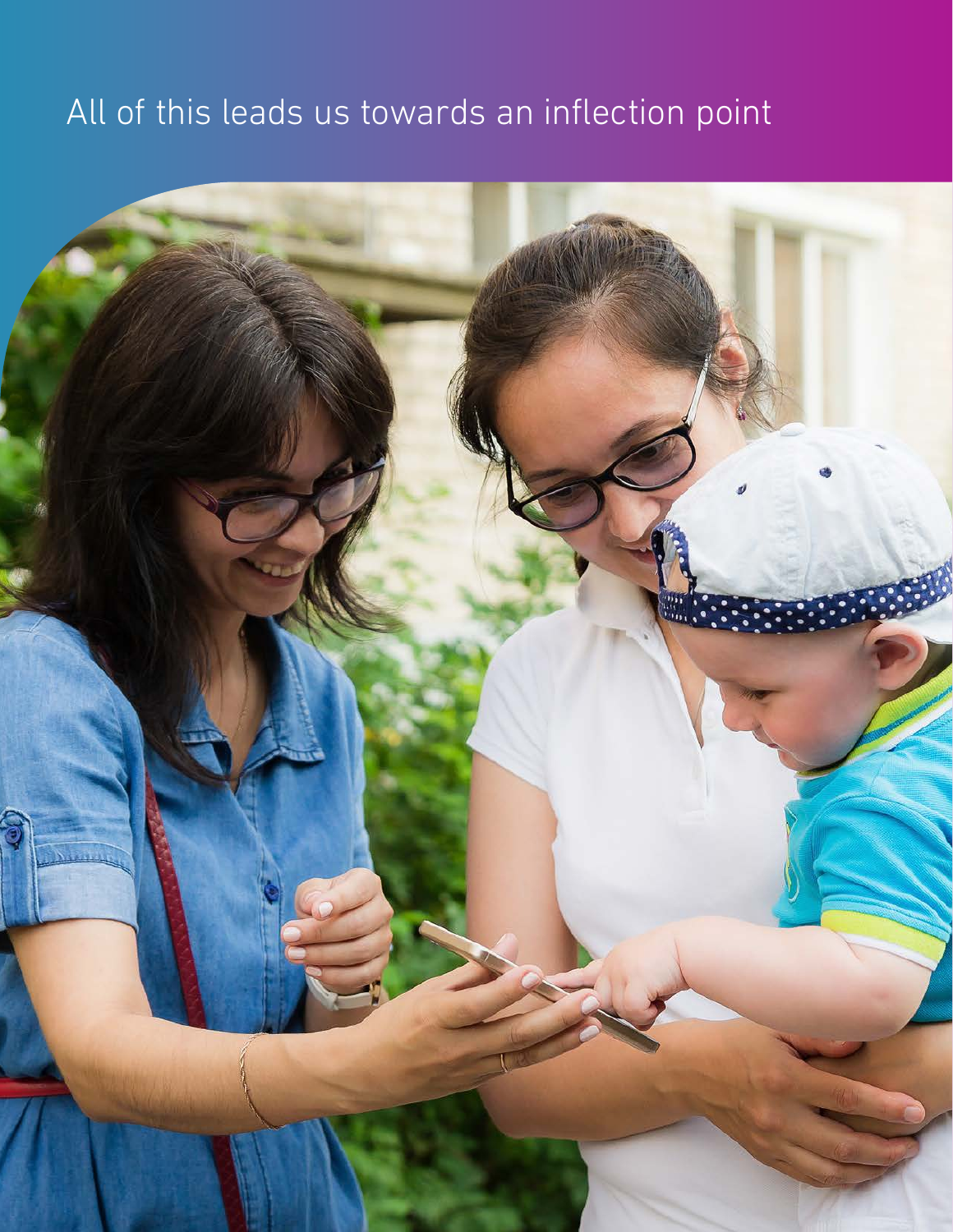# All of this leads us towards an inflection point

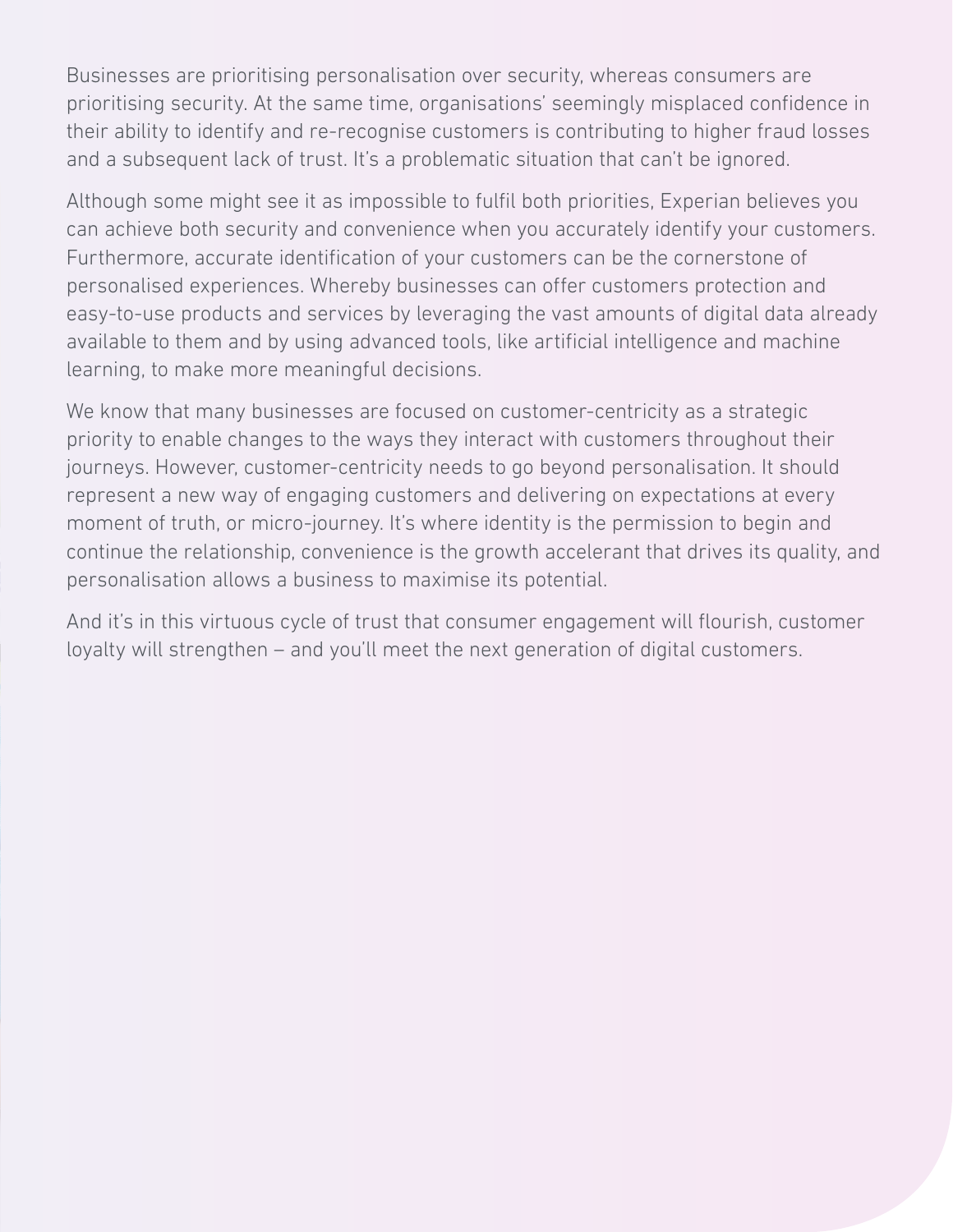Businesses are prioritising personalisation over security, whereas consumers are prioritising security. At the same time, organisations' seemingly misplaced confidence in their ability to identify and re-recognise customers is contributing to higher fraud losses and a subsequent lack of trust. It's a problematic situation that can't be ignored.

Although some might see it as impossible to fulfil both priorities, Experian believes you can achieve both security and convenience when you accurately identify your customers. Furthermore, accurate identification of your customers can be the cornerstone of personalised experiences. Whereby businesses can offer customers protection and easy-to-use products and services by leveraging the vast amounts of digital data already available to them and by using advanced tools, like artificial intelligence and machine learning, to make more meaningful decisions.

We know that many businesses are focused on customer-centricity as a strategic priority to enable changes to the ways they interact with customers throughout their journeys. However, customer-centricity needs to go beyond personalisation. It should represent a new way of engaging customers and delivering on expectations at every moment of truth, or micro-journey. It's where identity is the permission to begin and continue the relationship, convenience is the growth accelerant that drives its quality, and personalisation allows a business to maximise its potential.

And it's in this virtuous cycle of trust that consumer engagement will flourish, customer loyalty will strengthen – and you'll meet the next generation of digital customers.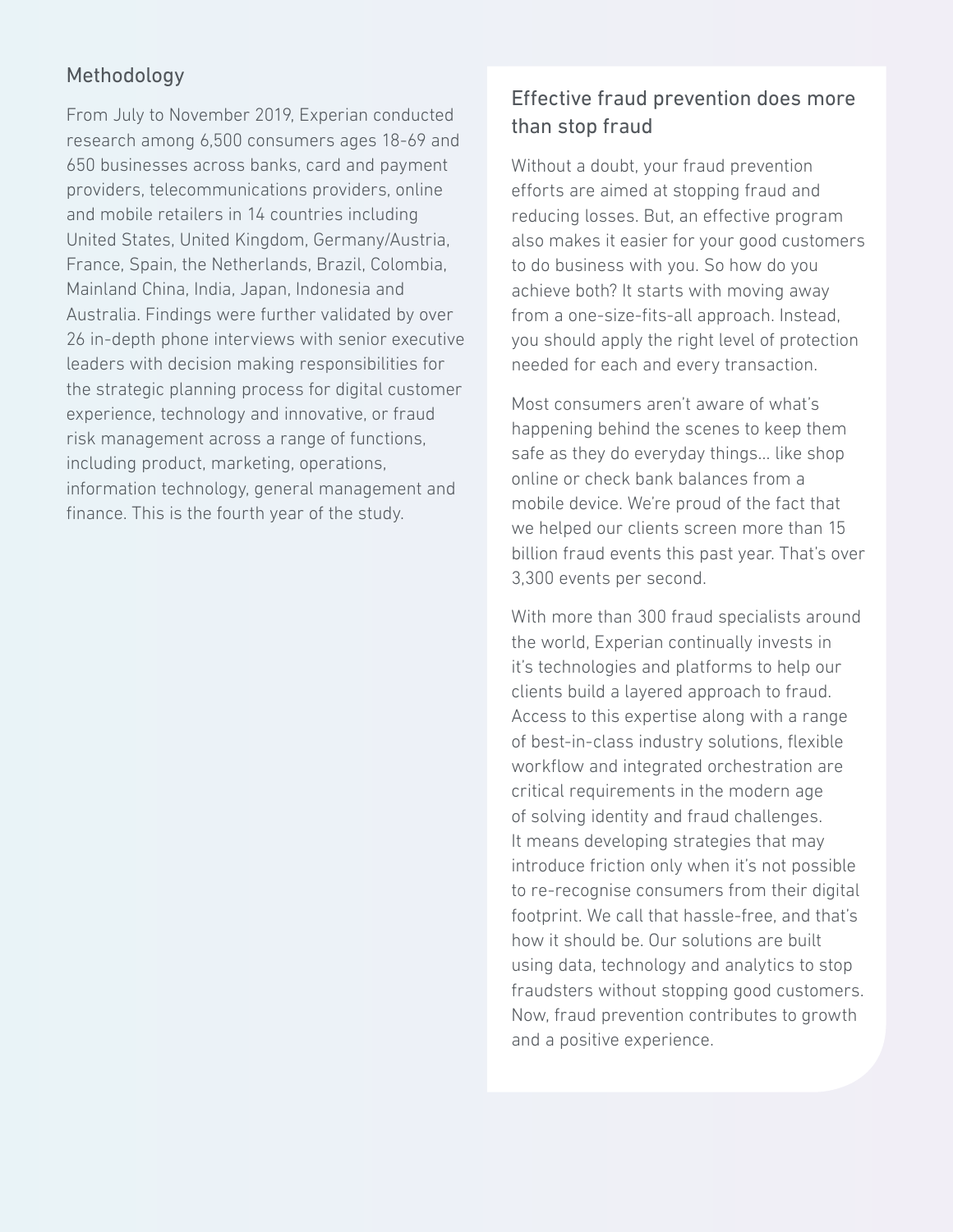## Methodology

From July to November 2019, Experian conducted research among 6,500 consumers ages 18-69 and 650 businesses across banks, card and payment providers, telecommunications providers, online and mobile retailers in 14 countries including United States, United Kingdom, Germany/Austria, France, Spain, the Netherlands, Brazil, Colombia, Mainland China, India, Japan, Indonesia and Australia. Findings were further validated by over 26 in-depth phone interviews with senior executive leaders with decision making responsibilities for the strategic planning process for digital customer experience, technology and innovative, or fraud risk management across a range of functions, including product, marketing, operations, information technology, general management and finance. This is the fourth year of the study.

## Effective fraud prevention does more than stop fraud

Without a doubt, your fraud prevention efforts are aimed at stopping fraud and reducing losses. But, an effective program also makes it easier for your good customers to do business with you. So how do you achieve both? It starts with moving away from a one-size-fits-all approach. Instead, you should apply the right level of protection needed for each and every transaction.

Most consumers aren't aware of what's happening behind the scenes to keep them safe as they do everyday things… like shop online or check bank balances from a mobile device. We're proud of the fact that we helped our clients screen more than 15 billion fraud events this past year. That's over 3,300 events per second.

With more than 300 fraud specialists around the world, Experian continually invests in it's technologies and platforms to help our clients build a layered approach to fraud. Access to this expertise along with a range of best-in-class industry solutions, flexible workflow and integrated orchestration are critical requirements in the modern age of solving identity and fraud challenges. It means developing strategies that may introduce friction only when it's not possible to re-recognise consumers from their digital footprint. We call that hassle-free, and that's how it should be. Our solutions are built using data, technology and analytics to stop fraudsters without stopping good customers. Now, fraud prevention contributes to growth and a positive experience.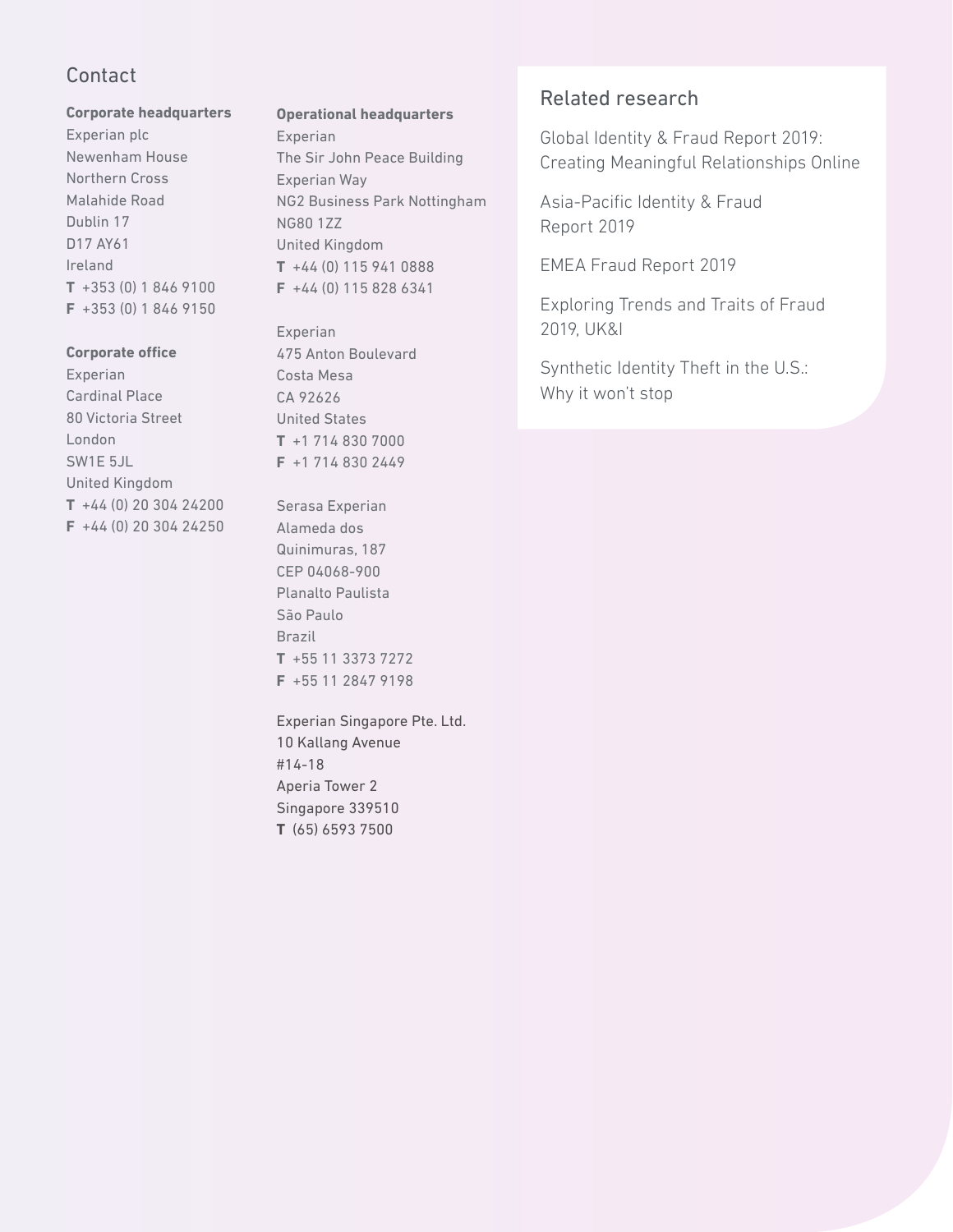## Contact

#### **Corporate headquarters**

Experian plc Newenham House Northern Cross Malahide Road Dublin 17 D17 AY61 Ireland **T** +353 (0) 1 846 9100 **F** +353 (0) 1 846 9150

#### **Corporate office**

Experian Cardinal Place 80 Victoria Street London SW1E 5JL United Kingdom **T** +44 (0) 20 304 24200 **F** +44 (0) 20 304 24250

#### **Operational headquarters**

Experian The Sir John Peace Building Experian Way NG2 Business Park Nottingham NG80 1ZZ United Kingdom **T** +44 (0) 115 941 0888 **F** +44 (0) 115 828 6341

Experian 475 Anton Boulevard Costa Mesa CA 92626 United States **T** +1 714 830 7000 **F** +1 714 830 2449

Serasa Experian Alameda dos Quinimuras, 187 CEP 04068-900 Planalto Paulista São Paulo Brazil **T** +55 11 3373 7272 **F** +55 11 2847 9198

Experian Singapore Pte. Ltd. 10 Kallang Avenue #14-18 Aperia Tower 2 Singapore 339510 **T** (65) 6593 7500

### Related research

[Global Identity & Fraud Report 2019:](https://www.experian.com/decision-analytics/global-fraud-report)  [Creating Meaningful Relationships Online](https://www.experian.com/decision-analytics/global-fraud-report)

[Asia-Pacific Identity & Fraud](https://www.experian.com.sg/insights/2019-asia-pacific-identity-and-fraud-report)  [Report 2019](https://www.experian.com.sg/insights/2019-asia-pacific-identity-and-fraud-report)

[EMEA Fraud Report 2019](https://www.experian.nl/en/identity-and-fraud/emea-fraud-report-2019)

[Exploring Trends and Traits of Fraud](https://www.experian.co.uk/blogs/latest-thinking/identity-and-fraud/exploring-fraud-trends-and-traits-2019-edition/)  [2019, UK&I](https://www.experian.co.uk/blogs/latest-thinking/identity-and-fraud/exploring-fraud-trends-and-traits-2019-edition/)

[Synthetic Identity Theft in the U.S.:](http://go.experian.com/IM-DA-20-WB-FID-SyntheticIDWebinar)  [Why it won't stop](http://go.experian.com/IM-DA-20-WB-FID-SyntheticIDWebinar)